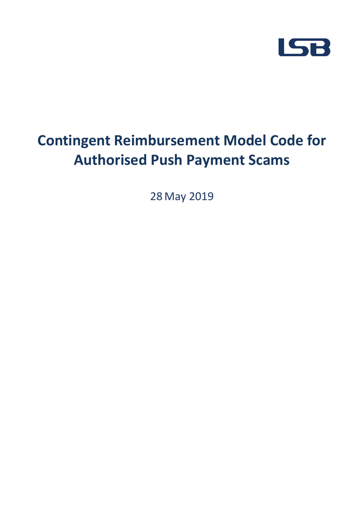

# **Contingent Reimbursement Model Code for Authorised Push Payment Scams**

28 May 2019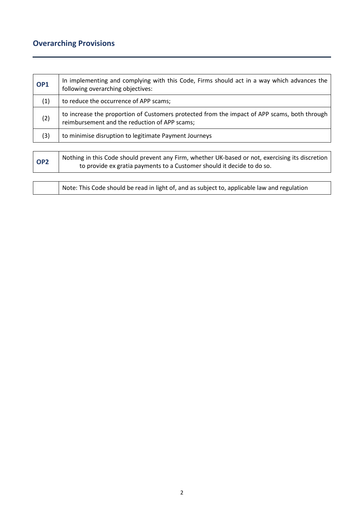## **Overarching Provisions**

| OP <sub>1</sub> | In implementing and complying with this Code, Firms should act in a way which advances the<br>following overarching objectives:                                            |
|-----------------|----------------------------------------------------------------------------------------------------------------------------------------------------------------------------|
| (1)             | to reduce the occurrence of APP scams;                                                                                                                                     |
| (2)             | to increase the proportion of Customers protected from the impact of APP scams, both through<br>reimbursement and the reduction of APP scams;                              |
| (3)             | to minimise disruption to legitimate Payment Journeys                                                                                                                      |
|                 |                                                                                                                                                                            |
| OP <sub>2</sub> | Nothing in this Code should prevent any Firm, whether UK-based or not, exercising its discretion<br>to provide ex gratia payments to a Customer should it decide to do so. |

Note: This Code should be read in light of, and as subject to, applicable law and regulation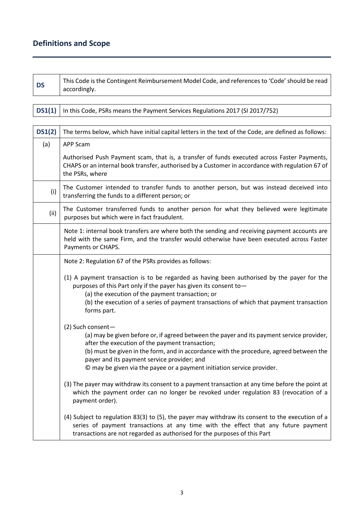## **Definitions and Scope**

**DS** This Code is the Contingent Reimbursement Model Code, and references to 'Code' should be read accordingly.

**DS1(1)** In this Code, PSRs means the Payment Services Regulations 2017 (SI 2017/752)

| DS1(2) | The terms below, which have initial capital letters in the text of the Code, are defined as follows:                                                                                                                                                                                                                                                                                  |
|--------|---------------------------------------------------------------------------------------------------------------------------------------------------------------------------------------------------------------------------------------------------------------------------------------------------------------------------------------------------------------------------------------|
| (a)    | APP Scam                                                                                                                                                                                                                                                                                                                                                                              |
|        | Authorised Push Payment scam, that is, a transfer of funds executed across Faster Payments,<br>CHAPS or an internal book transfer, authorised by a Customer in accordance with regulation 67 of<br>the PSRs, where                                                                                                                                                                    |
| (i)    | The Customer intended to transfer funds to another person, but was instead deceived into<br>transferring the funds to a different person; or                                                                                                                                                                                                                                          |
| (ii)   | The Customer transferred funds to another person for what they believed were legitimate<br>purposes but which were in fact fraudulent.                                                                                                                                                                                                                                                |
|        | Note 1: internal book transfers are where both the sending and receiving payment accounts are<br>held with the same Firm, and the transfer would otherwise have been executed across Faster<br>Payments or CHAPS.                                                                                                                                                                     |
|        | Note 2: Regulation 67 of the PSRs provides as follows:                                                                                                                                                                                                                                                                                                                                |
|        | (1) A payment transaction is to be regarded as having been authorised by the payer for the<br>purposes of this Part only if the payer has given its consent to-<br>(a) the execution of the payment transaction; or<br>(b) the execution of a series of payment transactions of which that payment transaction<br>forms part.                                                         |
|        | (2) Such consent-<br>(a) may be given before or, if agreed between the payer and its payment service provider,<br>after the execution of the payment transaction;<br>(b) must be given in the form, and in accordance with the procedure, agreed between the<br>payer and its payment service provider; and<br>© may be given via the payee or a payment initiation service provider. |
|        | (3) The payer may withdraw its consent to a payment transaction at any time before the point at<br>which the payment order can no longer be revoked under regulation 83 (revocation of a<br>payment order).                                                                                                                                                                           |
|        | (4) Subject to regulation 83(3) to (5), the payer may withdraw its consent to the execution of a<br>series of payment transactions at any time with the effect that any future payment<br>transactions are not regarded as authorised for the purposes of this Part                                                                                                                   |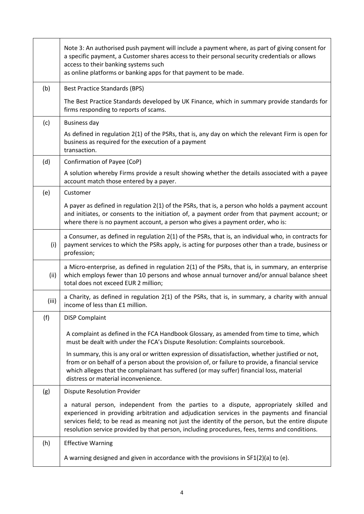|       | Note 3: An authorised push payment will include a payment where, as part of giving consent for<br>a specific payment, a Customer shares access to their personal security credentials or allows<br>access to their banking systems such<br>as online platforms or banking apps for that payment to be made.                                                                                  |
|-------|----------------------------------------------------------------------------------------------------------------------------------------------------------------------------------------------------------------------------------------------------------------------------------------------------------------------------------------------------------------------------------------------|
| (b)   | <b>Best Practice Standards (BPS)</b>                                                                                                                                                                                                                                                                                                                                                         |
|       | The Best Practice Standards developed by UK Finance, which in summary provide standards for<br>firms responding to reports of scams.                                                                                                                                                                                                                                                         |
| (c)   | <b>Business day</b>                                                                                                                                                                                                                                                                                                                                                                          |
|       | As defined in regulation 2(1) of the PSRs, that is, any day on which the relevant Firm is open for<br>business as required for the execution of a payment<br>transaction.                                                                                                                                                                                                                    |
| (d)   | Confirmation of Payee (CoP)                                                                                                                                                                                                                                                                                                                                                                  |
|       | A solution whereby Firms provide a result showing whether the details associated with a payee<br>account match those entered by a payer.                                                                                                                                                                                                                                                     |
| (e)   | Customer                                                                                                                                                                                                                                                                                                                                                                                     |
|       | A payer as defined in regulation 2(1) of the PSRs, that is, a person who holds a payment account<br>and initiates, or consents to the initiation of, a payment order from that payment account; or<br>where there is no payment account, a person who gives a payment order, who is:                                                                                                         |
| (i)   | a Consumer, as defined in regulation 2(1) of the PSRs, that is, an individual who, in contracts for<br>payment services to which the PSRs apply, is acting for purposes other than a trade, business or<br>profession;                                                                                                                                                                       |
| (ii)  | a Micro-enterprise, as defined in regulation 2(1) of the PSRs, that is, in summary, an enterprise<br>which employs fewer than 10 persons and whose annual turnover and/or annual balance sheet<br>total does not exceed EUR 2 million;                                                                                                                                                       |
| (iii) | a Charity, as defined in regulation 2(1) of the PSRs, that is, in summary, a charity with annual<br>income of less than £1 million.                                                                                                                                                                                                                                                          |
| (f)   | <b>DISP Complaint</b>                                                                                                                                                                                                                                                                                                                                                                        |
|       | A complaint as defined in the FCA Handbook Glossary, as amended from time to time, which<br>must be dealt with under the FCA's Dispute Resolution: Complaints sourcebook.                                                                                                                                                                                                                    |
|       | In summary, this is any oral or written expression of dissatisfaction, whether justified or not,<br>from or on behalf of a person about the provision of, or failure to provide, a financial service<br>which alleges that the complainant has suffered (or may suffer) financial loss, material<br>distress or material inconvenience.                                                      |
| (g)   | <b>Dispute Resolution Provider</b>                                                                                                                                                                                                                                                                                                                                                           |
|       | a natural person, independent from the parties to a dispute, appropriately skilled and<br>experienced in providing arbitration and adjudication services in the payments and financial<br>services field; to be read as meaning not just the identity of the person, but the entire dispute<br>resolution service provided by that person, including procedures, fees, terms and conditions. |
| (h)   | <b>Effective Warning</b>                                                                                                                                                                                                                                                                                                                                                                     |
|       | A warning designed and given in accordance with the provisions in $SF1(2)(a)$ to (e).                                                                                                                                                                                                                                                                                                        |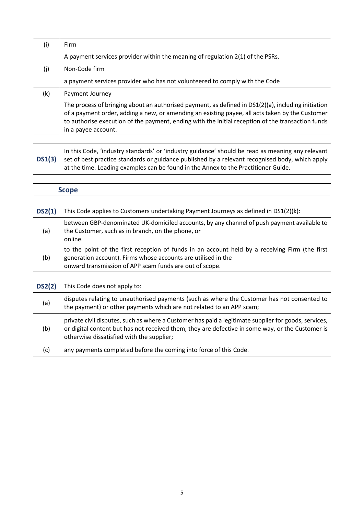| $\mathbf{I}$ | Firm                                                                                                                                                                                                                                                                                                                              |
|--------------|-----------------------------------------------------------------------------------------------------------------------------------------------------------------------------------------------------------------------------------------------------------------------------------------------------------------------------------|
|              | A payment services provider within the meaning of regulation 2(1) of the PSRs.                                                                                                                                                                                                                                                    |
| (j)          | Non-Code firm                                                                                                                                                                                                                                                                                                                     |
|              | a payment services provider who has not volunteered to comply with the Code                                                                                                                                                                                                                                                       |
| (k)          | Payment Journey                                                                                                                                                                                                                                                                                                                   |
|              | The process of bringing about an authorised payment, as defined in DS1(2)(a), including initiation<br>of a payment order, adding a new, or amending an existing payee, all acts taken by the Customer<br>to authorise execution of the payment, ending with the initial reception of the transaction funds<br>in a payee account. |

**DS1(3)** In this Code, 'industry standards' or 'industry guidance' should be read as meaning any relevant set of best practice standards or guidance published by a relevant recognised body, which apply at the time. Leading examples can be found in the Annex to the Practitioner Guide.

#### **Scope**

| DS2(1) | This Code applies to Customers undertaking Payment Journeys as defined in DS1(2)(k):                                                                                                                                       |
|--------|----------------------------------------------------------------------------------------------------------------------------------------------------------------------------------------------------------------------------|
| (a)    | between GBP-denominated UK-domiciled accounts, by any channel of push payment available to<br>the Customer, such as in branch, on the phone, or<br>online.                                                                 |
| (b)    | to the point of the first reception of funds in an account held by a receiving Firm (the first<br>generation account). Firms whose accounts are utilised in the<br>onward transmission of APP scam funds are out of scope. |

| DS2(2) | This Code does not apply to:                                                                                                                                                                                                                          |
|--------|-------------------------------------------------------------------------------------------------------------------------------------------------------------------------------------------------------------------------------------------------------|
| (a)    | disputes relating to unauthorised payments (such as where the Customer has not consented to<br>the payment) or other payments which are not related to an APP scam;                                                                                   |
| (b)    | private civil disputes, such as where a Customer has paid a legitimate supplier for goods, services,<br>or digital content but has not received them, they are defective in some way, or the Customer is<br>otherwise dissatisfied with the supplier; |
| (c)    | any payments completed before the coming into force of this Code.                                                                                                                                                                                     |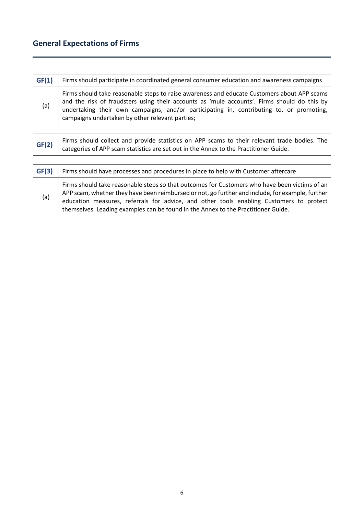# **General Expectations of Firms**

| GF(1) | Firms should participate in coordinated general consumer education and awareness campaigns                                                                                                                                                                                                                                                |
|-------|-------------------------------------------------------------------------------------------------------------------------------------------------------------------------------------------------------------------------------------------------------------------------------------------------------------------------------------------|
| (a)   | Firms should take reasonable steps to raise awareness and educate Customers about APP scams<br>and the risk of fraudsters using their accounts as 'mule accounts'. Firms should do this by<br>undertaking their own campaigns, and/or participating in, contributing to, or promoting,<br>campaigns undertaken by other relevant parties; |

| GF(2) | Firms should collect and provide statistics on APP scams to their relevant trade bodies. The<br>categories of APP scam statistics are set out in the Annex to the Practitioner Guide.                                                                                                                                                                                             |
|-------|-----------------------------------------------------------------------------------------------------------------------------------------------------------------------------------------------------------------------------------------------------------------------------------------------------------------------------------------------------------------------------------|
|       |                                                                                                                                                                                                                                                                                                                                                                                   |
| GF(3) | Firms should have processes and procedures in place to help with Customer aftercare                                                                                                                                                                                                                                                                                               |
| (a)   | Firms should take reasonable steps so that outcomes for Customers who have been victims of an<br>APP scam, whether they have been reimbursed or not, go further and include, for example, further<br>education measures, referrals for advice, and other tools enabling Customers to protect<br>themselves. Leading examples can be found in the Annex to the Practitioner Guide. |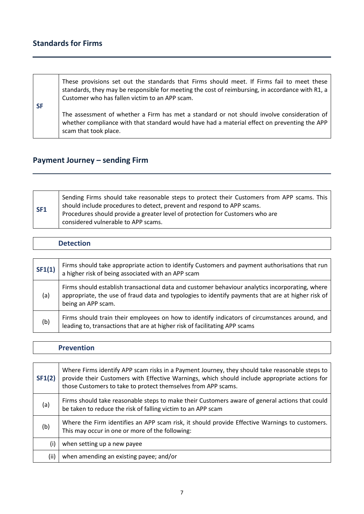## **Standards for Firms**

| <b>SF</b> | These provisions set out the standards that Firms should meet. If Firms fail to meet these<br>standards, they may be responsible for meeting the cost of reimbursing, in accordance with R1, a<br>Customer who has fallen victim to an APP scam. |
|-----------|--------------------------------------------------------------------------------------------------------------------------------------------------------------------------------------------------------------------------------------------------|
|           | The assessment of whether a Firm has met a standard or not should involve consideration of<br>whether compliance with that standard would have had a material effect on preventing the APP<br>scam that took place.                              |

# **Payment Journey – sending Firm**

| SF1 | Sending Firms should take reasonable steps to protect their Customers from APP scams. This<br>should include procedures to detect, prevent and respond to APP scams.<br>Procedures should provide a greater level of protection for Customers who are<br>considered vulnerable to APP scams. |
|-----|----------------------------------------------------------------------------------------------------------------------------------------------------------------------------------------------------------------------------------------------------------------------------------------------|

| SF1(1) | Firms should take appropriate action to identify Customers and payment authorisations that run<br>a higher risk of being associated with an APP scam                                                                       |
|--------|----------------------------------------------------------------------------------------------------------------------------------------------------------------------------------------------------------------------------|
| (a)    | Firms should establish transactional data and customer behaviour analytics incorporating, where<br>appropriate, the use of fraud data and typologies to identify payments that are at higher risk of<br>being an APP scam. |
| (b)    | Firms should train their employees on how to identify indicators of circumstances around, and<br>leading to, transactions that are at higher risk of facilitating APP scams                                                |

#### **Prevention**

| SF1(2) | Where Firms identify APP scam risks in a Payment Journey, they should take reasonable steps to<br>provide their Customers with Effective Warnings, which should include appropriate actions for<br>those Customers to take to protect themselves from APP scams. |  |
|--------|------------------------------------------------------------------------------------------------------------------------------------------------------------------------------------------------------------------------------------------------------------------|--|
| (a)    | Firms should take reasonable steps to make their Customers aware of general actions that could<br>be taken to reduce the risk of falling victim to an APP scam                                                                                                   |  |
| (b)    | Where the Firm identifies an APP scam risk, it should provide Effective Warnings to customers.<br>This may occur in one or more of the following:                                                                                                                |  |
| (i)    | when setting up a new payee                                                                                                                                                                                                                                      |  |
| (ii)   | when amending an existing payee; and/or                                                                                                                                                                                                                          |  |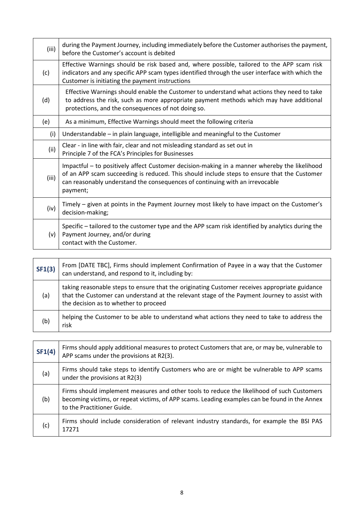| (iii) | during the Payment Journey, including immediately before the Customer authorises the payment,<br>before the Customer's account is debited                                                                                                                                               |  |  |
|-------|-----------------------------------------------------------------------------------------------------------------------------------------------------------------------------------------------------------------------------------------------------------------------------------------|--|--|
| (c)   | Effective Warnings should be risk based and, where possible, tailored to the APP scam risk<br>indicators and any specific APP scam types identified through the user interface with which the<br>Customer is initiating the payment instructions                                        |  |  |
| (d)   | Effective Warnings should enable the Customer to understand what actions they need to take<br>to address the risk, such as more appropriate payment methods which may have additional<br>protections, and the consequences of not doing so.                                             |  |  |
| (e)   | As a minimum, Effective Warnings should meet the following criteria                                                                                                                                                                                                                     |  |  |
| (i)   | Understandable – in plain language, intelligible and meaningful to the Customer                                                                                                                                                                                                         |  |  |
| (ii)  | Clear - in line with fair, clear and not misleading standard as set out in<br>Principle 7 of the FCA's Principles for Businesses                                                                                                                                                        |  |  |
| (iii) | Impactful – to positively affect Customer decision-making in a manner whereby the likelihood<br>of an APP scam succeeding is reduced. This should include steps to ensure that the Customer<br>can reasonably understand the consequences of continuing with an irrevocable<br>payment; |  |  |
| (iv)  | Timely – given at points in the Payment Journey most likely to have impact on the Customer's<br>decision-making;                                                                                                                                                                        |  |  |
| (v)   | Specific – tailored to the customer type and the APP scam risk identified by analytics during the<br>Payment Journey, and/or during<br>contact with the Customer.                                                                                                                       |  |  |

| SF1(3) | From [DATE TBC], Firms should implement Confirmation of Payee in a way that the Customer<br>can understand, and respond to it, including by:                                                                                           |  |
|--------|----------------------------------------------------------------------------------------------------------------------------------------------------------------------------------------------------------------------------------------|--|
| (a)    | taking reasonable steps to ensure that the originating Customer receives appropriate guidance<br>that the Customer can understand at the relevant stage of the Payment Journey to assist with<br>the decision as to whether to proceed |  |
| (b)    | helping the Customer to be able to understand what actions they need to take to address the<br>risk                                                                                                                                    |  |

| SF1(4) | Firms should apply additional measures to protect Customers that are, or may be, vulnerable to<br>APP scams under the provisions at R2(3).                                                                                |  |
|--------|---------------------------------------------------------------------------------------------------------------------------------------------------------------------------------------------------------------------------|--|
| (a)    | Firms should take steps to identify Customers who are or might be vulnerable to APP scams<br>under the provisions at R2(3)                                                                                                |  |
| (b)    | Firms should implement measures and other tools to reduce the likelihood of such Customers<br>becoming victims, or repeat victims, of APP scams. Leading examples can be found in the Annex<br>to the Practitioner Guide. |  |
| (c)    | Firms should include consideration of relevant industry standards, for example the BSI PAS<br>17271                                                                                                                       |  |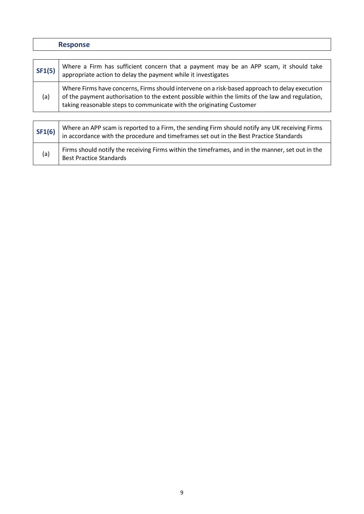|        | <b>Response</b>                                                                                                                                                                                                                                                           |  |
|--------|---------------------------------------------------------------------------------------------------------------------------------------------------------------------------------------------------------------------------------------------------------------------------|--|
|        |                                                                                                                                                                                                                                                                           |  |
| SF1(5) | Where a Firm has sufficient concern that a payment may be an APP scam, it should take<br>appropriate action to delay the payment while it investigates                                                                                                                    |  |
| (a)    | Where Firms have concerns, Firms should intervene on a risk-based approach to delay execution<br>of the payment authorisation to the extent possible within the limits of the law and regulation,<br>taking reasonable steps to communicate with the originating Customer |  |
|        |                                                                                                                                                                                                                                                                           |  |
| SF1(6) | Where an APP scam is reported to a Firm, the sending Firm should notify any UK receiving Firms<br>in accordance with the procedure and timeframes set out in the Best Practice Standards                                                                                  |  |

(a) Firms should notify the receiving Firms within the timeframes, and in the manner, set out in the Best Practice Standards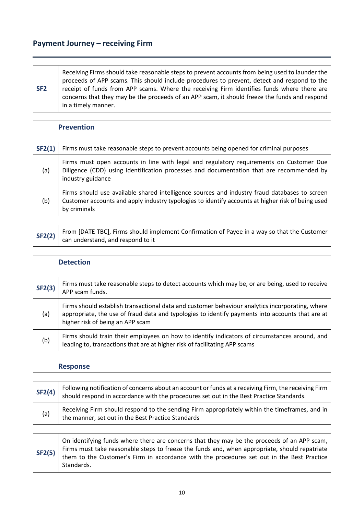#### **Payment Journey – receiving Firm**

| SF <sub>2</sub> | Receiving Firms should take reasonable steps to prevent accounts from being used to launder the<br>proceeds of APP scams. This should include procedures to prevent, detect and respond to the<br>receipt of funds from APP scams. Where the receiving Firm identifies funds where there are<br>concerns that they may be the proceeds of an APP scam, it should freeze the funds and respond |
|-----------------|-----------------------------------------------------------------------------------------------------------------------------------------------------------------------------------------------------------------------------------------------------------------------------------------------------------------------------------------------------------------------------------------------|
|                 | in a timely manner.                                                                                                                                                                                                                                                                                                                                                                           |

#### **Prevention**

| SF2(1) | Firms must take reasonable steps to prevent accounts being opened for criminal purposes                                                                                                                            |  |  |
|--------|--------------------------------------------------------------------------------------------------------------------------------------------------------------------------------------------------------------------|--|--|
| (a)    | Firms must open accounts in line with legal and regulatory requirements on Customer Due<br>Diligence (CDD) using identification processes and documentation that are recommended by<br>industry guidance           |  |  |
| (b)    | Firms should use available shared intelligence sources and industry fraud databases to screen<br>Customer accounts and apply industry typologies to identify accounts at higher risk of being used<br>by criminals |  |  |

|  | SF2(2) From [DATE TBC], Firms should implement Confirmation of Payee in a way so that the Customer can understand, and respond to it |
|--|--------------------------------------------------------------------------------------------------------------------------------------|

#### **Detection**

| SF2(3) | Firms must take reasonable steps to detect accounts which may be, or are being, used to receive<br>APP scam funds.                                                                                                                      |  |
|--------|-----------------------------------------------------------------------------------------------------------------------------------------------------------------------------------------------------------------------------------------|--|
| (a)    | Firms should establish transactional data and customer behaviour analytics incorporating, where<br>appropriate, the use of fraud data and typologies to identify payments into accounts that are at<br>higher risk of being an APP scam |  |
| (b)    | Firms should train their employees on how to identify indicators of circumstances around, and<br>leading to, transactions that are at higher risk of facilitating APP scams                                                             |  |

|        | <b>Response</b>                                                                                                                                                                                  |  |
|--------|--------------------------------------------------------------------------------------------------------------------------------------------------------------------------------------------------|--|
|        |                                                                                                                                                                                                  |  |
| SF2(4) | Following notification of concerns about an account or funds at a receiving Firm, the receiving Firm<br>should respond in accordance with the procedures set out in the Best Practice Standards. |  |
| (a)    | Receiving Firm should respond to the sending Firm appropriately within the timeframes, and in<br>the manner, set out in the Best Practice Standards                                              |  |

**SF2(5)** On identifying funds where there are concerns that they may be the proceeds of an APP scam, Firms must take reasonable steps to freeze the funds and, when appropriate, should repatriate them to the Customer's Firm in accordance with the procedures set out in the Best Practice Standards.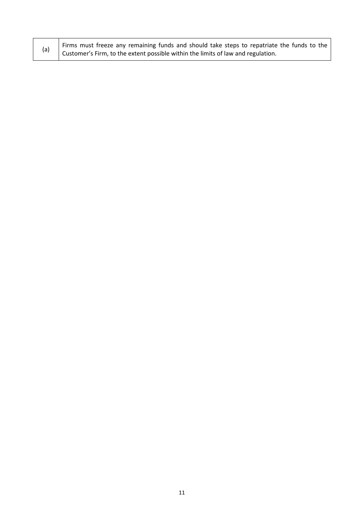|  | Firms must freeze any remaining funds and should take steps to repatriate the funds to the |  |  |
|--|--------------------------------------------------------------------------------------------|--|--|
|  | Customer's Firm, to the extent possible within the limits of law and regulation.           |  |  |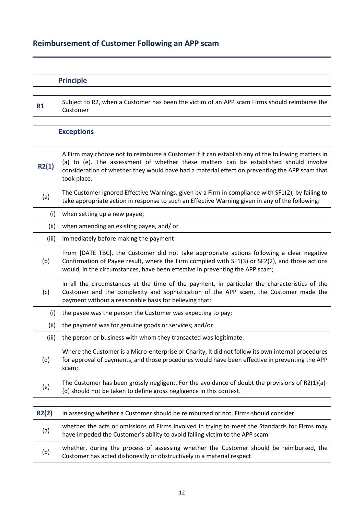## **Reimbursement of Customer Following an APP scam**

| <b>Principle</b> |                                                                                                                                                                                                                                    |
|------------------|------------------------------------------------------------------------------------------------------------------------------------------------------------------------------------------------------------------------------------|
|                  |                                                                                                                                                                                                                                    |
|                  | $\mathcal{L}$ . The set of the set of the set of the set of the set of the set of the set of the set of the set of the set of the set of the set of the set of the set of the set of the set of the set of the set of the set of t |

**R1** Subject to R2, when a Customer has been the victim of an APP scam Firms should reimburse the Customer

| <b>Exceptions</b> |                                                                                                                                                                                                                                                                                                             |
|-------------------|-------------------------------------------------------------------------------------------------------------------------------------------------------------------------------------------------------------------------------------------------------------------------------------------------------------|
|                   |                                                                                                                                                                                                                                                                                                             |
| R2(1)             | A Firm may choose not to reimburse a Customer if it can establish any of the following matters in<br>(a) to (e). The assessment of whether these matters can be established should involve<br>consideration of whether they would have had a material effect on preventing the APP scam that<br>took place. |
| (a)               | The Customer ignored Effective Warnings, given by a Firm in compliance with SF1(2), by failing to<br>take appropriate action in response to such an Effective Warning given in any of the following:                                                                                                        |
| (i)               | when setting up a new payee;                                                                                                                                                                                                                                                                                |
| (ii)              | when amending an existing payee, and/ or                                                                                                                                                                                                                                                                    |
| (iii)             | immediately before making the payment                                                                                                                                                                                                                                                                       |
| (b)               | From [DATE TBC], the Customer did not take appropriate actions following a clear negative<br>Confirmation of Payee result, where the Firm complied with SF1(3) or SF2(2), and those actions<br>would, in the circumstances, have been effective in preventing the APP scam;                                 |
| (c)               | In all the circumstances at the time of the payment, in particular the characteristics of the<br>Customer and the complexity and sophistication of the APP scam, the Customer made the<br>payment without a reasonable basis for believing that:                                                            |
| (i)               | the payee was the person the Customer was expecting to pay;                                                                                                                                                                                                                                                 |
| (ii)              | the payment was for genuine goods or services; and/or                                                                                                                                                                                                                                                       |
| (iii)             | the person or business with whom they transacted was legitimate.                                                                                                                                                                                                                                            |
| (d)               | Where the Customer is a Micro-enterprise or Charity, it did not follow its own internal procedures<br>for approval of payments, and those procedures would have been effective in preventing the APP<br>scam;                                                                                               |
| (e)               | The Customer has been grossly negligent. For the avoidance of doubt the provisions of $R2(1)(a)$ -<br>(d) should not be taken to define gross negligence in this context.                                                                                                                                   |

| R2(2) | In assessing whether a Customer should be reimbursed or not, Firms should consider                                                                                           |
|-------|------------------------------------------------------------------------------------------------------------------------------------------------------------------------------|
| (a)   | whether the acts or omissions of Firms involved in trying to meet the Standards for Firms may<br>have impeded the Customer's ability to avoid falling victim to the APP scam |
| (b)   | whether, during the process of assessing whether the Customer should be reimbursed, the<br>Customer has acted dishonestly or obstructively in a material respect             |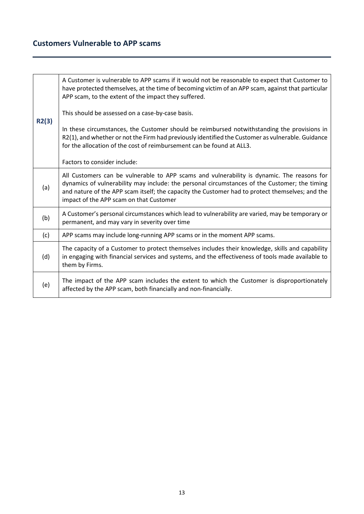## **Customers Vulnerable to APP scams**

| R2(3) | A Customer is vulnerable to APP scams if it would not be reasonable to expect that Customer to<br>have protected themselves, at the time of becoming victim of an APP scam, against that particular<br>APP scam, to the extent of the impact they suffered.                                                                               |
|-------|-------------------------------------------------------------------------------------------------------------------------------------------------------------------------------------------------------------------------------------------------------------------------------------------------------------------------------------------|
|       | This should be assessed on a case-by-case basis.                                                                                                                                                                                                                                                                                          |
|       | In these circumstances, the Customer should be reimbursed notwithstanding the provisions in<br>R2(1), and whether or not the Firm had previously identified the Customer as vulnerable. Guidance<br>for the allocation of the cost of reimbursement can be found at ALL3.                                                                 |
|       | Factors to consider include:                                                                                                                                                                                                                                                                                                              |
| (a)   | All Customers can be vulnerable to APP scams and vulnerability is dynamic. The reasons for<br>dynamics of vulnerability may include: the personal circumstances of the Customer; the timing<br>and nature of the APP scam itself; the capacity the Customer had to protect themselves; and the<br>impact of the APP scam on that Customer |
| (b)   | A Customer's personal circumstances which lead to vulnerability are varied, may be temporary or<br>permanent, and may vary in severity over time                                                                                                                                                                                          |
| (c)   | APP scams may include long-running APP scams or in the moment APP scams.                                                                                                                                                                                                                                                                  |
| (d)   | The capacity of a Customer to protect themselves includes their knowledge, skills and capability<br>in engaging with financial services and systems, and the effectiveness of tools made available to<br>them by Firms.                                                                                                                   |
| (e)   | The impact of the APP scam includes the extent to which the Customer is disproportionately<br>affected by the APP scam, both financially and non-financially.                                                                                                                                                                             |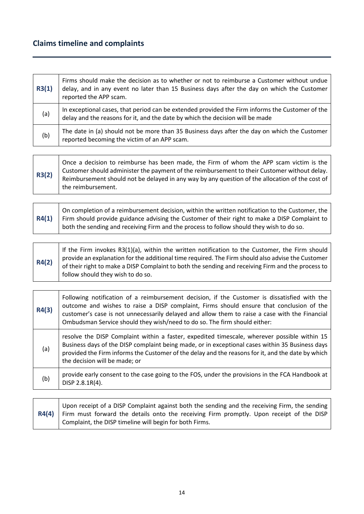## **Claims timeline and complaints**

| R3(1) | Firms should make the decision as to whether or not to reimburse a Customer without undue<br>delay, and in any event no later than 15 Business days after the day on which the Customer<br>reported the APP scam. |
|-------|-------------------------------------------------------------------------------------------------------------------------------------------------------------------------------------------------------------------|
| (a)   | In exceptional cases, that period can be extended provided the Firm informs the Customer of the<br>delay and the reasons for it, and the date by which the decision will be made                                  |
| (b)   | The date in (a) should not be more than 35 Business days after the day on which the Customer<br>reported becoming the victim of an APP scam.                                                                      |

| R4(1) | On completion of a reimbursement decision, within the written notification to the Customer, the<br>Firm should provide guidance advising the Customer of their right to make a DISP Complaint to  <br>both the sending and receiving Firm and the process to follow should they wish to do so. |
|-------|------------------------------------------------------------------------------------------------------------------------------------------------------------------------------------------------------------------------------------------------------------------------------------------------|

| R4(2) | If the Firm invokes $R3(1)(a)$ , within the written notification to the Customer, the Firm should<br>provide an explanation for the additional time required. The Firm should also advise the Customer<br>of their right to make a DISP Complaint to both the sending and receiving Firm and the process to<br>follow should they wish to do so. |
|-------|--------------------------------------------------------------------------------------------------------------------------------------------------------------------------------------------------------------------------------------------------------------------------------------------------------------------------------------------------|

| R4(3) | Following notification of a reimbursement decision, if the Customer is dissatisfied with the<br>outcome and wishes to raise a DISP complaint, Firms should ensure that conclusion of the<br>customer's case is not unnecessarily delayed and allow them to raise a case with the Financial<br>Ombudsman Service should they wish/need to do so. The firm should either: |
|-------|-------------------------------------------------------------------------------------------------------------------------------------------------------------------------------------------------------------------------------------------------------------------------------------------------------------------------------------------------------------------------|
| (a)   | resolve the DISP Complaint within a faster, expedited timescale, wherever possible within 15<br>Business days of the DISP complaint being made, or in exceptional cases within 35 Business days<br>provided the Firm informs the Customer of the delay and the reasons for it, and the date by which<br>the decision will be made; or                                   |
| (b)   | provide early consent to the case going to the FOS, under the provisions in the FCA Handbook at<br>DISP 2.8.1R(4).                                                                                                                                                                                                                                                      |

| Upon receipt of a DISP Complaint against both the sending and the receiving Firm, the sending    |
|--------------------------------------------------------------------------------------------------|
| $R4(4)$ Firm must forward the details onto the receiving Firm promptly. Upon receipt of the DISP |
| Complaint, the DISP timeline will begin for both Firms.                                          |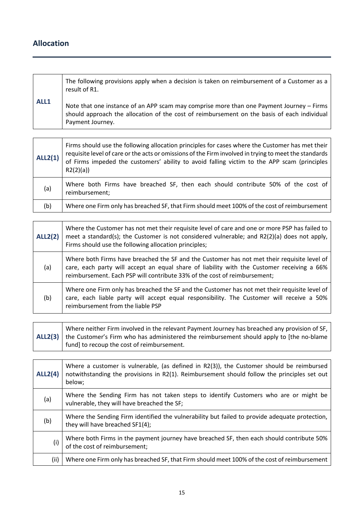## **Allocation**

|      | The following provisions apply when a decision is taken on reimbursement of a Customer as a<br>result of R1.                                                                                                |
|------|-------------------------------------------------------------------------------------------------------------------------------------------------------------------------------------------------------------|
| ALL1 | Note that one instance of an APP scam may comprise more than one Payment Journey - Firms<br>should approach the allocation of the cost of reimbursement on the basis of each individual<br>Payment Journey. |

| ALL2(1) | Firms should use the following allocation principles for cases where the Customer has met their<br>requisite level of care or the acts or omissions of the Firm involved in trying to meet the standards<br>of Firms impeded the customers' ability to avoid falling victim to the APP scam (principles<br>R2(2)(a) |
|---------|---------------------------------------------------------------------------------------------------------------------------------------------------------------------------------------------------------------------------------------------------------------------------------------------------------------------|
| (a)     | Where both Firms have breached SF, then each should contribute 50% of the cost of<br>reimbursement;                                                                                                                                                                                                                 |
| (b)     | Where one Firm only has breached SF, that Firm should meet 100% of the cost of reimbursement                                                                                                                                                                                                                        |

| <b>ALL2(2)</b> | Where the Customer has not met their requisite level of care and one or more PSP has failed to<br>meet a standard(s); the Customer is not considered vulnerable; and R2(2)(a) does not apply,<br>Firms should use the following allocation principles;                 |
|----------------|------------------------------------------------------------------------------------------------------------------------------------------------------------------------------------------------------------------------------------------------------------------------|
| (a)            | Where both Firms have breached the SF and the Customer has not met their requisite level of<br>care, each party will accept an equal share of liability with the Customer receiving a 66%<br>reimbursement. Each PSP will contribute 33% of the cost of reimbursement; |
| (b)            | Where one Firm only has breached the SF and the Customer has not met their requisite level of<br>care, each liable party will accept equal responsibility. The Customer will receive a 50%<br>reimbursement from the liable PSP                                        |

| Where neither Firm involved in the relevant Payment Journey has breached any provision of SF,                 |
|---------------------------------------------------------------------------------------------------------------|
| $\mathsf{ALL2}(3)$   the Customer's Firm who has administered the reimbursement should apply to [the no-blame |
| fund] to recoup the cost of reimbursement.                                                                    |

| <b>ALL2(4)</b> | Where a customer is vulnerable, (as defined in R2(3)), the Customer should be reimbursed<br>notwithstanding the provisions in R2(1). Reimbursement should follow the principles set out<br>below; |
|----------------|---------------------------------------------------------------------------------------------------------------------------------------------------------------------------------------------------|
| (a)            | Where the Sending Firm has not taken steps to identify Customers who are or might be<br>vulnerable, they will have breached the SF;                                                               |
| (b)            | Where the Sending Firm identified the vulnerability but failed to provide adequate protection,<br>they will have breached SF1(4);                                                                 |
| (i)            | Where both Firms in the payment journey have breached SF, then each should contribute 50%<br>of the cost of reimbursement;                                                                        |
| (ii)           | Where one Firm only has breached SF, that Firm should meet 100% of the cost of reimbursement                                                                                                      |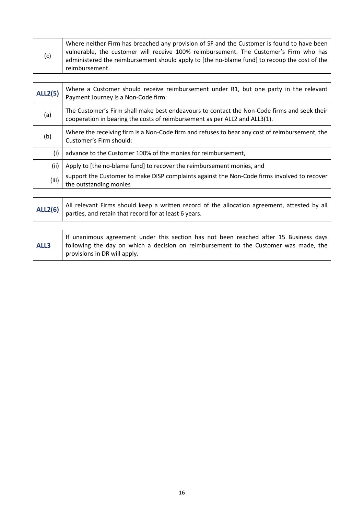| (c)            | Where neither Firm has breached any provision of SF and the Customer is found to have been<br>vulnerable, the customer will receive 100% reimbursement. The Customer's Firm who has<br>administered the reimbursement should apply to [the no-blame fund] to recoup the cost of the<br>reimbursement. |
|----------------|-------------------------------------------------------------------------------------------------------------------------------------------------------------------------------------------------------------------------------------------------------------------------------------------------------|
|                |                                                                                                                                                                                                                                                                                                       |
| <b>ALL2(5)</b> | Where a Customer should receive reimbursement under R1, but one party in the relevant<br>Payment Journey is a Non-Code firm:                                                                                                                                                                          |
| (a)            | The Customer's Firm shall make best endeavours to contact the Non-Code firms and seek their<br>cooperation in bearing the costs of reimbursement as per ALL2 and ALL3(1).                                                                                                                             |
| (b)            | Where the receiving firm is a Non-Code firm and refuses to bear any cost of reimbursement, the<br>Customer's Firm should:                                                                                                                                                                             |
| (i)            | advance to the Customer 100% of the monies for reimbursement,                                                                                                                                                                                                                                         |
| (ii)           | Apply to [the no-blame fund] to recover the reimbursement monies, and                                                                                                                                                                                                                                 |
| (iii)          | support the Customer to make DISP complaints against the Non-Code firms involved to recover<br>the outstanding monies                                                                                                                                                                                 |

|  | ALL2(6) $\Big $ All relevant Firms should keep a written record of the allocation agreement, attested by all parties, and retain that record for at least 6 years. |
|--|--------------------------------------------------------------------------------------------------------------------------------------------------------------------|
|  |                                                                                                                                                                    |

| ALL3 | If unanimous agreement under this section has not been reached after 15 Business days<br>following the day on which a decision on reimbursement to the Customer was made, the |
|------|-------------------------------------------------------------------------------------------------------------------------------------------------------------------------------|
|      | provisions in DR will apply.                                                                                                                                                  |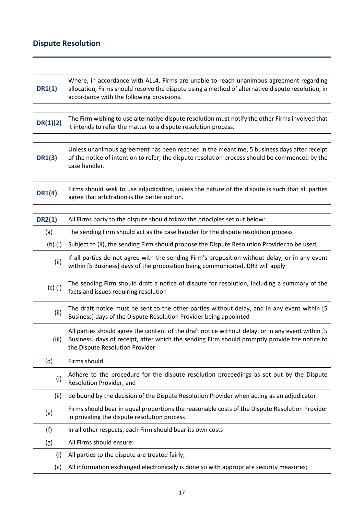# **Dispute Resolution**

| <b>DR1(1)</b> | Where, in accordance with ALL4, Firms are unable to reach unanimous agreement regarding<br>allocation, Firms should resolve the dispute using a method of alternative dispute resolution, in<br>accordance with the following provisions. |
|---------------|-------------------------------------------------------------------------------------------------------------------------------------------------------------------------------------------------------------------------------------------|
|               |                                                                                                                                                                                                                                           |
| DR(1)(2)      | The Firm wishing to use alternative dispute resolution must notify the other Firms involved that<br>it intends to refer the matter to a dispute resolution process.                                                                       |

| <b>DR1(3)</b> | Unless unanimous agreement has been reached in the meantime, 5 business days after receipt<br>of the notice of intention to refer, the dispute resolution process should be commenced by the<br>case handler. |
|---------------|---------------------------------------------------------------------------------------------------------------------------------------------------------------------------------------------------------------|

| DR1(4) | Firms should seek to use adjudication, unless the nature of the dispute is such that all parties |
|--------|--------------------------------------------------------------------------------------------------|
|        | agree that arbitration is the better option.                                                     |

| <b>DR2(1)</b> | All Firms party to the dispute should follow the principles set out below:                                                                                                                                                             |
|---------------|----------------------------------------------------------------------------------------------------------------------------------------------------------------------------------------------------------------------------------------|
| (a)           | The sending Firm should act as the case handler for the dispute resolution process                                                                                                                                                     |
| $(b)$ (i)     | Subject to (ii), the sending Firm should propose the Dispute Resolution Provider to be used;                                                                                                                                           |
| (ii)          | If all parties do not agree with the sending Firm's proposition without delay, or in any event<br>within [5 Business] days of the proposition being communicated, DR3 will apply                                                       |
| $(c)$ (i)     | The sending Firm should draft a notice of dispute for resolution, including a summary of the<br>facts and issues requiring resolution                                                                                                  |
| (ii)          | The draft notice must be sent to the other parties without delay, and in any event within [5]<br>Business] days of the Dispute Resolution Provider being appointed                                                                     |
| (iii)         | All parties should agree the content of the draft notice without delay, or in any event within [5]<br>Business] days of receipt, after which the sending Firm should promptly provide the notice to<br>the Dispute Resolution Provider |
| (d)           | Firms should                                                                                                                                                                                                                           |
| (i)           | Adhere to the procedure for the dispute resolution proceedings as set out by the Dispute<br>Resolution Provider; and                                                                                                                   |
| (ii)          | be bound by the decision of the Dispute Resolution Provider when acting as an adjudicator                                                                                                                                              |
| (e)           | Firms should bear in equal proportions the reasonable costs of the Dispute Resolution Provider<br>in providing the dispute resolution process                                                                                          |
| (f)           | In all other respects, each Firm should bear its own costs                                                                                                                                                                             |
| (g)           | All Firms should ensure:                                                                                                                                                                                                               |
| (i)           | All parties to the dispute are treated fairly;                                                                                                                                                                                         |
| (ii)          | All information exchanged electronically is done so with appropriate security measures;                                                                                                                                                |
|               |                                                                                                                                                                                                                                        |